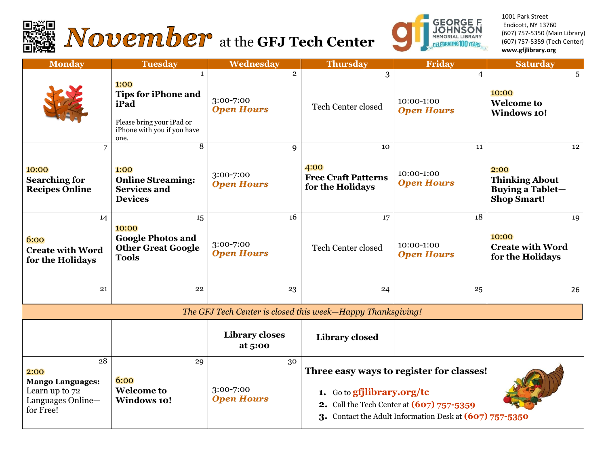



1001 Park Street Endicott, NY 13760 (607) 757-5350 (Main Library) (607) 757-5359 (Tech Center) **www.gfjlibrary.org**

| <b>Monday</b>                                                                             | <b>Tuesday</b>                                                                                                                 | Wednesday                                        | <b>Thursday</b>                                                                                                                                                                | <b>Friday</b>                         | <b>Saturday</b>                                                                      |
|-------------------------------------------------------------------------------------------|--------------------------------------------------------------------------------------------------------------------------------|--------------------------------------------------|--------------------------------------------------------------------------------------------------------------------------------------------------------------------------------|---------------------------------------|--------------------------------------------------------------------------------------|
|                                                                                           | $\mathbf{1}$<br>1:00<br><b>Tips for iPhone and</b><br>iPad<br>Please bring your iPad or<br>iPhone with you if you have<br>one. | $\overline{2}$<br>3:00-7:00<br><b>Open Hours</b> | 3<br><b>Tech Center closed</b>                                                                                                                                                 | 4<br>10:00-1:00<br><b>Open Hours</b>  | 5<br>10:00<br><b>Welcome to</b><br><b>Windows 10!</b>                                |
| 7<br>10:00<br><b>Searching for</b><br><b>Recipes Online</b>                               | $\overline{8}$<br>1:00<br><b>Online Streaming:</b><br><b>Services and</b><br><b>Devices</b>                                    | 9<br>3:00-7:00<br><b>Open Hours</b>              | 10<br>4:00<br><b>Free Craft Patterns</b><br>for the Holidays                                                                                                                   | 11<br>10:00-1:00<br><b>Open Hours</b> | 12<br>2:00<br><b>Thinking About</b><br><b>Buying a Tablet-</b><br><b>Shop Smart!</b> |
| 14<br>6:00<br><b>Create with Word</b><br>for the Holidays                                 | 15<br>10:00<br><b>Google Photos and</b><br><b>Other Great Google</b><br><b>Tools</b>                                           | 16<br>3:00-7:00<br><b>Open Hours</b>             | 17<br><b>Tech Center closed</b>                                                                                                                                                | 18<br>10:00-1:00<br><b>Open Hours</b> | 19<br>10:00<br><b>Create with Word</b><br>for the Holidays                           |
| 21                                                                                        | 22                                                                                                                             | 23                                               | 24                                                                                                                                                                             | 25                                    | 26                                                                                   |
| The GFJ Tech Center is closed this week-Happy Thanksgiving!                               |                                                                                                                                |                                                  |                                                                                                                                                                                |                                       |                                                                                      |
|                                                                                           |                                                                                                                                | <b>Library closes</b><br>at 5:00                 | <b>Library closed</b>                                                                                                                                                          |                                       |                                                                                      |
| 28<br>2:00<br><b>Mango Languages:</b><br>Learn up to 72<br>Languages Online-<br>for Free! | 29<br>6:00<br><b>Welcome to</b><br><b>Windows 10!</b>                                                                          | 30<br>3:00-7:00<br><b>Open Hours</b>             | Three easy ways to register for classes!<br>1. Go to gfjlibrary.org/tc<br>2. Call the Tech Center at (607) 757-5359<br>3. Contact the Adult Information Desk at (607) 757-5350 |                                       |                                                                                      |